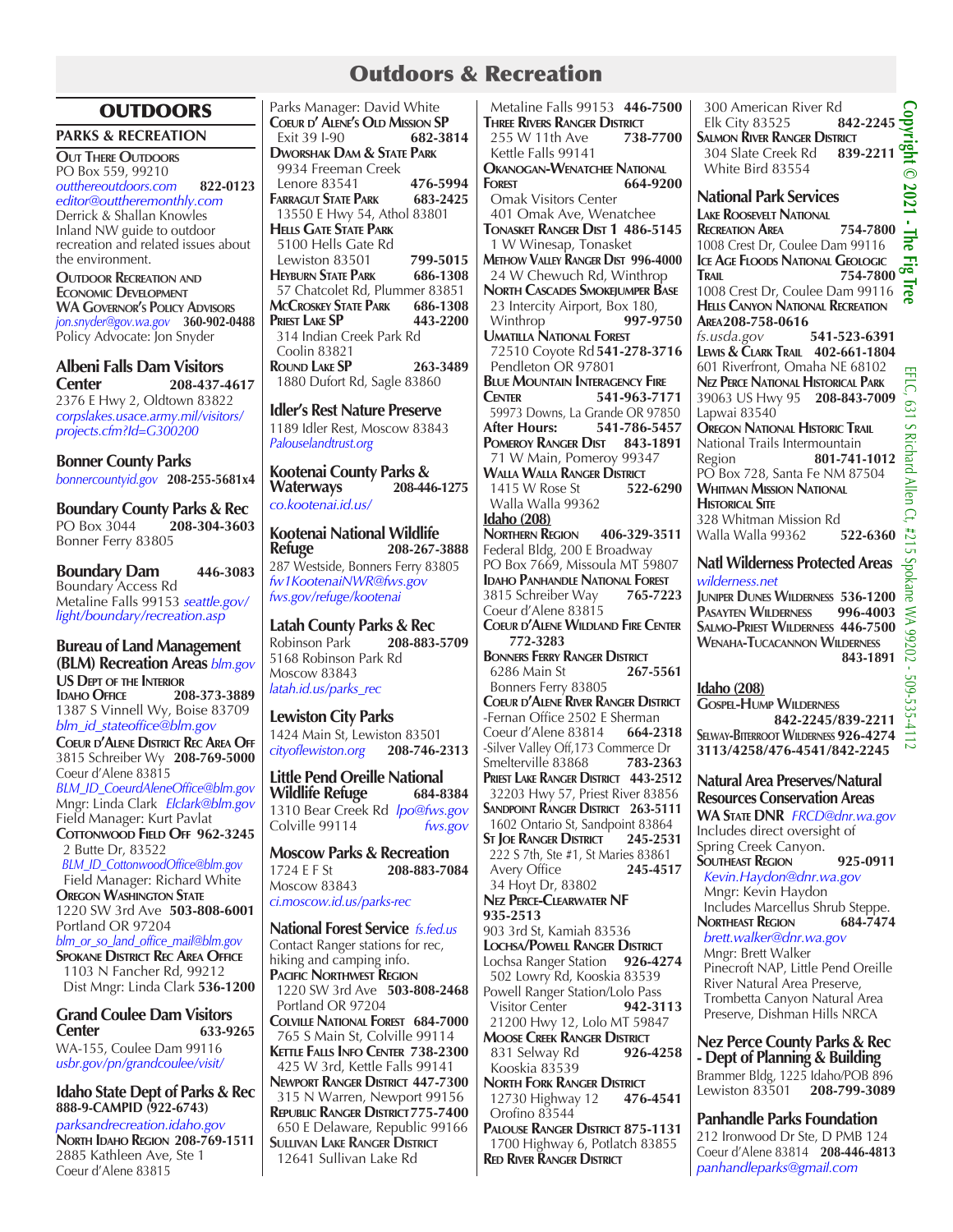## Outdoors & Recreation

## **OUTDOORS**

**PARKS & RECREATION**

**Out There Outdoors** PO Box 559, 99210 *outthereoutdoors.com* **822-0123**  *editor@outtheremonthly.com* Derrick & Shallan Knowles Inland NW guide to outdoor recreation and related issues about the environment.

**Outdoor Recreation and WA GOVERNOR'S POLICY ADVISORS** *jon.snyder@gov.wa.gov* **360-902-0488** Policy Advocate: Jon Snyder

**Albeni Falls Dam Visitors Center 208-437-4617** 2376 E Hwy 2, Oldtown 83822 *corpslakes.usace.army.mil/visitors/ projects.cfm?Id=G300200*

**Bonner County Parks** *bonnercountyid.gov* **208-255-5681x4**

**Boundary County Parks & Rec** PO Box 3044 **208-304-3603** Bonner Ferry 83805

**Boundary Dam 446-3083** Boundary Access Rd Metaline Falls 99153 *seattle.gov/ light/boundary/recreation.asp*

**Bureau of Land Management (BLM) Recreation Areas** *blm.gov* **US Dept of the Interior Idaho Office 208-373-3889** 1387 S Vinnell Wy, Boise 83709 *blm\_id\_stateoffice@blm.gov* **Coeur d'Alene District Rec Area Off** 3815 Schreiber Wy **208-769-5000** Coeur d'Alene 83815 *BLM\_ID\_CoeurdAleneOffice@blm.gov*  Mngr: Linda Clark *Elclark@blm.gov* Field Manager: Kurt Pavlat COTTONWOOD FIELD OFF 962-3245 2 Butte Dr, 83522  *BLM\_ID\_CottonwoodOffice@blm.gov* Field Manager: Richard White **OREGON WASHINGTON STATE** 1220 SW 3rd Ave **503-808-6001** Portland OR 97204 *blm\_or\_so\_land\_office\_mail@blm.gov* **Spokane District Rec Area Office** 1103 N Fancher Rd, 99212 Dist Mngr: Linda Clark **536-1200**

**Grand Coulee Dam Visitors Center 633-9265** WA-155, Coulee Dam 99116

*usbr.gov/pn/grandcoulee/visit/*

**Idaho State Dept of Parks & Rec 888-9-CAMPID (922-6743)** *parksandrecreation.idaho.gov* **North Idaho Region 208-769-1511** 2885 Kathleen Ave, Ste 1 Coeur d'Alene 83815

Parks Manager: David White **COEUR D'ALENE'S OLD MISSION SP**<br> **Exit 39 1-90** 682-3814 **Exit 39 I-90 Dworshak Dam & State Park** 9934 Freeman Creek Lenore 83541 **476-5994 FARRAGUT STATE PARK**  13550 E Hwy 54, Athol 83801 **Hells Gate State Park** 5100 Hells Gate Rd Lewiston 83501 **799-5015 HEYBURN STATE PARK** 57 Chatcolet Rd, Plummer 83851<br>**ACCROSKEY STATE PARK 686-1308 McCroskey State Park 686-1308 PRIEST** LAKE **SP**  314 Indian Creek Park Rd Coolin 83821 **Round Lake SP 263-3489** 1880 Dufort Rd, Sagle 83860

**Idler's Rest Nature Preserve** 1189 Idler Rest, Moscow 83843 *Palouselandtrust.org*

**Kootenai County Parks & Waterways 208-446-1275** *co.kootenai.id.us/*

**Kootenai National Wildlife Refuge 208-267-3888** 287 Westside, Bonners Ferry 83805 *fw1KootenaiNWR@fws.gov fws.gov/refuge/kootenai*

**Latah County Parks & Rec** Robinson Park **208-883-5709**  5168 Robinson Park Rd Moscow 83843 *latah.id.us/parks\_rec*

**Lewiston City Parks** 1424 Main St, Lewiston 83501 *cityoflewiston.org* **208-746-2313**

**Little Pend Oreille National Wildlife Refuge** 1310 Bear Creek Rd *lpo@fws.gov* Colville 99114 *fws.gov*

**Moscow Parks & Recreation**<br>1724 E F St **208-883-70** 1724 E F St **208-883-7084** Moscow 83843 *ci.moscow.id.us/parks-rec*

## **National Forest Service** *fs.fed.us*

Contact Ranger stations for rec, hiking and camping info. **Pacific Northwest Region** 1220 SW 3rd Ave **503-808-2468** Portland OR 97204 **Colville National Forest 684-7000** 765 S Main St, Colville 99114 **Kettle Falls Info Center 738-2300** 425 W 3rd, Kettle Falls 99141 **Newport Ranger District 447-7300** 315 N Warren, Newport 99156 **Republic Ranger District775-7400** 650 E Delaware, Republic 99166 **Sullivan Lake Ranger District** 12641 Sullivan Lake Rd

 Metaline Falls 99153 **446-7500 THREE RIVERS RANGER DISTRICT**<br>255 W/ 11th Ave 738-7700 255 W 11th Ave **738-7700** Kettle Falls 99141 **Okanogan-Wenatchee National Forest 664-9200** Omak Visitors Center 401 Omak Ave, Wenatchee **Tonasket Ranger Dist 1 486-5145** 1 W Winesap, Tonasket **Methow Valley Ranger Dist 996-4000** 24 W Chewuch Rd, Winthrop **North Cascades Smokejumper Base** 23 Intercity Airport, Box 180,<br>Winthrop 997-9750 Winthrop **997-9750 Umatilla National Forest** 72510 Coyote Rd **541-278-3716** Pendleton<sup>OR</sup> 97801 **Blue Mountain Interagency Fire Center 541-963-7171** 59973 Downs, La Grande OR 97850<br>**After Hours:** 541-786-5457 **After Hours: 541-786-5457 Pomeroy Ranger Dist 843-1891** 71 W Main, Pomeroy 99347 **WALLA WALLA RANGER DISTRICT**<br>1415 W Rose St **522-6290** 1415 W Rose St Walla Walla 99362 **Idaho (208) Northern Region 406-329-3511** Federal Bldg, 200 E Broadway PO Box 7669, Missoula MT 59807 **IDAHO PANHANDLE NATIONAL FOREST**<br>3815 Schreiber Way 765-7223 3815 Schreiber Way **765-7223** Coeur d'Alene 83815 **Coeur d'Alene Wildland Fire Center 772-3283 Bonners Ferry Ranger District** 6286 Main St **267-5561** Bonners Ferry 83805 **Coeur d'Alene River Ranger District** -Fernan Office 2502 E Sherman<br>Coeur d'Alene 83814 664-2318 Coeur d'Alene 83814 **664-2318** -Silver Valley Off,173 Commerce Dr Smelterville 83868 **783-2363 Priest Lake Ranger District 443-2512** 32203 Hwy 57, Priest River 83856 **Sandpoint Ranger District 263-5111** 1602 Ontario St, Sandpoint 83864 **St Joe Ranger District 245-2531** 222 S 7th, Ste #1, St Maries 83861<br>Avery Office 245-4517 Avery Office 34 Hoyt Dr, 83802 **Nez Perce-Clearwater NF 935-2513** 903 3rd St, Kamiah 83536 **Lochsa/Powell Ranger District** Lochsa Ranger Station **926-4274** 502 Lowry Rd, Kooskia 83539 Powell Ranger Station/Lolo Pass Visitor Center **942-3113** 21200 Hwy 12, Lolo MT 59847 **Moose Creek Ranger District** 831 Selway Rd Kooskia 83539 **NORTH FORK RANGER DISTRICT**<br>12730 Highway 12 **476-4541**  12730 Highway 12 **476-4541** Orofino 83544 **Palouse Ranger District 875-1131** 1700 Highway 6, Potlatch 83855 **Red River Ranger District**

300 American River Rd<br>Elk City 83525 **842-2245 Copyright © 2021 - The Fig Tree Elk City 83525 Salmon River Ranger District** 304 Slate Creek Rd White Bird 83554  $\odot$ 2021 **National Park Services Lake Roosevelt National Recreation Area 754-7800** The 1008 Crest Dr, Coulee Dam 99116 **ICE** AGE FLOODS NATIONAL GEOLOGIC **THE TRAIL** 754-7800  $\overline{\phantom{a}}$ **Trail 754-7800** 1008 Crest Dr, Coulee Dam 99116 **Hells Canyon National Recreation Area208-758-0616** *fs.usda.gov* **541-523-6391 Lewis & Clark Trail 402-661-1804** 601 Riverfront, Omaha NE 68102 **Nez Perce National Historical Park** 39063 US Hwy 95 **208-843-7009** Lapwai 83540 **Oregon National Historic Trail** National Trails Intermountain Region **801-741-1012** PO Box 728, Santa Fe NM 87504 **Whitman Mission National Historical Site** 328 Whitman Mission R<mark>d</mark><br>Walla Walla 99362 **522-6360** Walla Walla 99362 **522-6360 Natl Wilderness Protected Areas** *wilderness.net* **JUNIPER DUNES WILDERNESS 536-1200 Pasayten Wilderness 996-4003 Salmo-Priest Wilderness 446-7500 Wenaha-Tucacannon Wilderness 843-1891** 509-535-411 **Idaho (208) Gospel-Hump Wilderness 842-2245/839-2211 Selway-Biterroot Wilderness 926-4274 3113/4258/476-4541/842-2245 Natural Area Preserves/Natural** 

**Resources Conservation Areas WA State DNR** *FRCD@dnr.wa.gov* Includes direct oversight of Spring Creek Canyon. **Southeast Region 925-0911**  *Kevin.Haydon@dnr.wa.gov* Mngr: Kevin Haydon Includes Marcellus Shrub Steppe.<br>**NORTHEAST REGION** 684-7474 **NORTHEAST REGION**  *brett.walker@dnr.wa.gov* Mngr: Brett Walker Pinecroft NAP, Little Pend Oreille River Natural Area Preserve, Trombetta Canyon Natural Area Preserve, Dishman Hills NRCA

**Nez Perce County Parks & Rec - Dept of Planning & Building**  Brammer Bldg, 1225 Idaho/POB 896 Lewiston 83501 **208-799-3089**

**Panhandle Parks Foundation** 212 Ironwood Dr Ste, D PMB 124 Coeur d'Alene 83814 **208-446-4813** *panhandleparks@gmail.com*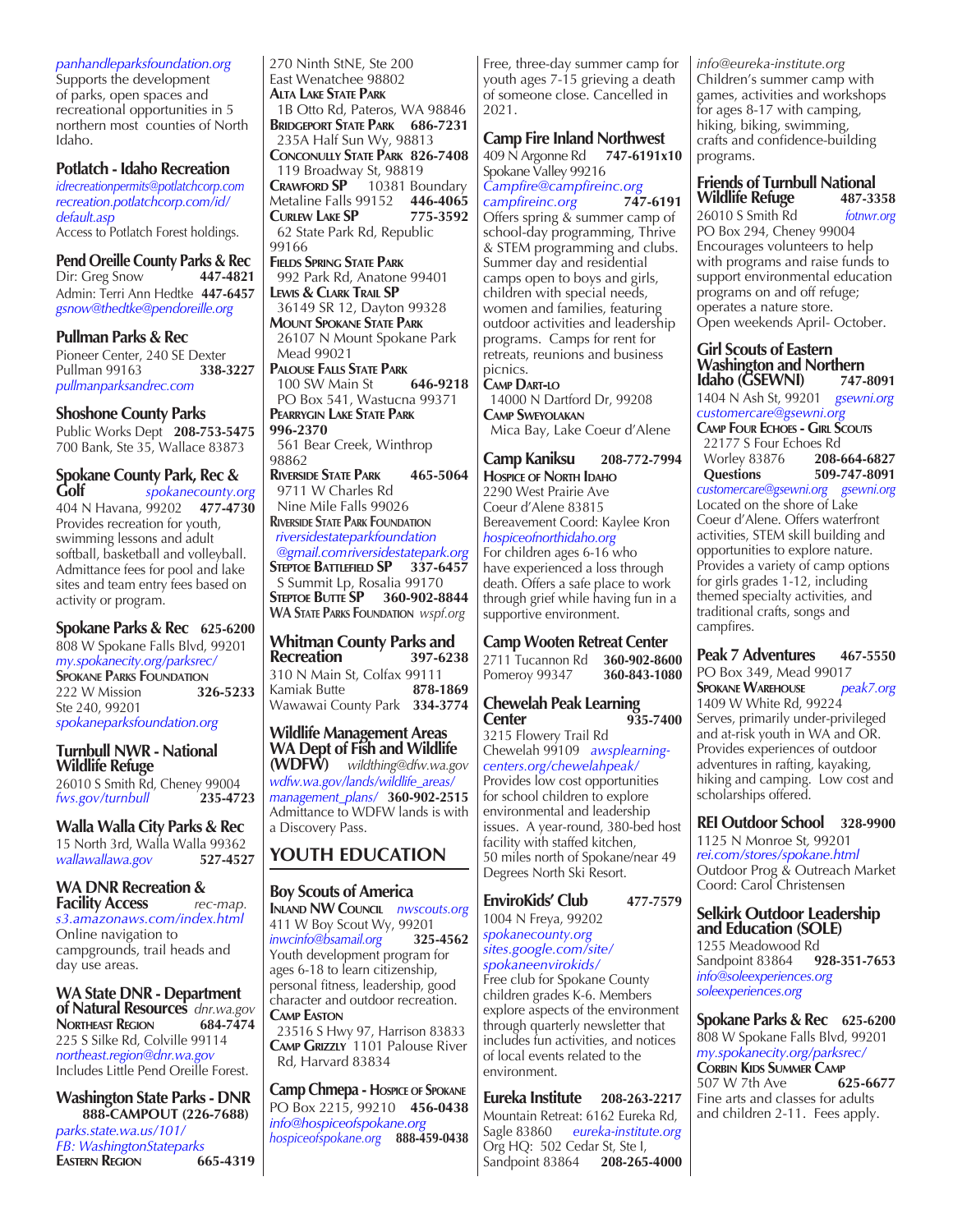*panhandleparksfoundation.org*

Supports the development of parks, open spaces and recreational opportunities in 5 northern most counties of North Idaho.

## **Potlatch - Idaho Recreation**

*idrecreationpermits@potlatchcorp.com recreation.potlatchcorp.com/id/ default.asp* Access to Potlatch Forest holdings.

**Pend Oreille County Parks & Rec** Dir: Greg Snow **447-4821** Dir: Greg Snow **447-4821** Admin: Terri Ann Hedtke **447-6457** *gsnow@thedtke@pendoreille.org*

**Pullman Parks & Rec** Pioneer Center, 240 SE Dexter<br>Pullman 99163 338-3227 **Pullman 99163** *pullmanparksandrec.com*

**Shoshone County Parks** Public Works Dept **208-753-5475** 700 Bank, Ste 35, Wallace 83873

#### **Spokane County Park, Rec & Golf** *spokanecounty.org*

404 N Havana, 99202 **477-4730** Provides recreation for youth, swimming lessons and adult softball, basketball and volleyball. Admittance fees for pool and lake sites and team entry fees based on activity or program.

## **Spokane Parks & Rec 625-6200**

808 W Spokane Falls Blvd, 99201 *my.spokanecity.org/parksrec/* **SPOKANE PARKS FOUNDATION**<br>222 W Mission **326-5233** 222 W Mission **326-5233** Ste 240, 99201 *spokaneparksfoundation.org*

## **Turnbull NWR - National Wildlife Refuge**

26010 S Smith Rd, Cheney 99004<br>fws.gov/turnbull 235-4723 *fws.gov/turnbull* **235-4723**

# **Walla Walla City Parks & Rec**

15 North 3rd, Walla Walla 99362<br>wallawallawa.gov 527-4527 *wallawallawa.gov* **527-4527**

#### **WA DNR Recreation & Facility Access** *rec-map.*

*s3.amazonaws.com/index.html* Online navigation to campgrounds, trail heads and day use areas.

**WA State DNR - Department of Natural Resources** *dnr.wa.gov* **NORTHEAST REGION** 225 S Silke Rd, Colville 99114 *northeast.region@dnr.wa.gov* Includes Little Pend Oreille Forest.

**Washington State Parks - DNR 888-CAMPOUT (226-7688)**

*parks.state.wa.us/101/ FB: WashingtonStateparks* **EASTERN REGION** 

270 Ninth StNE, Ste 200 East Wenatchee 98802 **Alta Lake State Park** 1B Otto Rd, Pateros, WA 98846 **Bridgeport State Park 686-7231** 235A Half Sun Wy, 98813 **Conconully State Park 826-7408** 119 Broadway St, 98819 **CRAWFORD SP** 10381 Boundary Metaline Falls 99152 **446-4065 Curlew Lake SP 775-3592** 62 State Park Rd, Republic 99166

**Fields Spring State Park** 992 Park Rd, Anatone 99401 **Lewis & Clark Trail SP** 36149 SR 12, Dayton 99328 **Mount Spokane State Park** 26107 N Mount Spokane Park Mead 99021 **Palouse Falls State Park**

100 SW Main St PO Box 541, Wastucna 99371 **Pearrygin Lake State Park 996-2370** 561 Bear Creek, Winthrop

98862 **Riverside State Park 465-5064** 9711 W Charles Rd Nine Mile Falls 99026 **Riverside State Park Foundation**  *riversidestateparkfoundation @gmail.comriversidestatepark.org* **Steptoe Battlefield SP 337-6457** S Summit Lp, Rosalia 99170 **Steptoe Butte SP 360-902-8844 WA State Parks Foundation** *wspf.org*

**Whitman County Parks and Recreation 397-6238** 310 N Main St, Colfax 99111<br>Kamiak Butte **878-1869** Kamiak Butte Wawawai County Park **334-3774**

**Wildlife Management Areas WA Dept of Fish and Wildlife** 

**(WDFW)** *wildthing@dfw.wa.gov wdfw.wa.gov/lands/wildlife\_areas/ management\_plans/* **360-902-2515** Admittance to WDFW lands is with a Discovery Pass.

## **YOUTH EDUCATION**

## **Boy Scouts of America**

**Inland NW Council** *nwscouts.org* 411 W Boy Scout Wy, 99201<br>
inwcinfo@bsamail.org 325-4562 *inwcinfo@bsamail.org* **325-4562** Youth development program for ages 6-18 to learn citizenship, personal fitness, leadership, good character and outdoor recreation. **Camp Easton** 23516 S Hwy 97, Harrison 83833

**Camp Grizzly** 1101 Palouse River Rd, Harvard 83834

**Camp Chmepa - Hospice of Spokane** PO Box 2215, 99210 **456-0438** *info@hospiceofspokane.org hospiceofspokane.org* **888-459-0438** Free, three-day summer camp for youth ages 7-15 grieving a death of someone close. Cancelled in 2021.

## **Camp Fire Inland Northwest**

409 N Argonne Rd **747-6191x10** Spokane Valley 99216

*Campfire@campfireinc.org campfireinc.org* **747-6191**  Offers spring & summer camp of school-day programming, Thrive & STEM programming and clubs. Summer day and residential camps open to boys and girls, children with special needs, women and families, featuring outdoor activities and leadership programs. Camps for rent for retreats, reunions and business picnics.

**Camp Dart-lo** 14000 N Dartford Dr, 99208 **Camp Sweyolakan** Mica Bay, Lake Coeur d'Alene

**Camp Kaniksu 208-772-7994 Hospice of North Idaho** 2290 West Prairie Ave Coeur d'Alene 83815 Bereavement Coord: Kaylee Kron *hospiceofnorthidaho.org* For children ages 6-16 who have experienced a loss through death. Offers a safe place to work through grief while having fun in a supportive environment.

## **Camp Wooten Retreat Center**

2711 Tucannon Rd **360-902-8600** Pomeroy 99347

**Chewelah Peak Learning Center 935-7400**

3215 Flowery Trail Rd Chewelah 99109 *awsplearningcenters.org/chewelahpeak/* Provides low cost opportunities for school children to explore environmental and leadership issues. A year-round, 380-bed host facility with staffed kitchen, 50 miles north of Spokane/near 49 Degrees North Ski Resort.

## **EnviroKids' Club 477-7579**

1004 N Freya, 99202 *spokanecounty.org sites.google.com/site/ spokaneenvirokids/* Free club for Spokane County

children grades K-6. Members explore aspects of the environment through quarterly newsletter that includes fun activities, and notices of local events related to the environment.

**Eureka Institute 208-263-2217** Mountain Retreat: 6162 Eureka Rd, Sagle 83860 *eureka-institute.org* Org HQ: 502 Cedar St, Ste I,<br>Sandpoint 83864 **208-265-4000** Sandpoint 83864

*info@eureka-institute.org*  Children's summer camp with games, activities and workshops for ages 8-17 with camping, hiking, biking, swimming, crafts and confidence-building programs.

#### **Friends of Turnbull National Wildlife Refuge**

26010 S Smith Rd *fotnwr.org* PO Box 294, Cheney 99004 Encourages volunteers to help with programs and raise funds to support environmental education programs on and off refuge; operates a nature store. Open weekends April- October.

#### **Girl Scouts of Eastern Washington and Northern Idaho (GSEWNI) 747-8091**

1404 N Ash St, 99201 *gsewni.org customercare@gsewni.org* **Camp Four Echoes - Girl Scouts** 22177 S Four Echoes Rd Worley 83876 **208-664-6827** 

 **Questions 509-747-8091**

*customercare@gsewni.org gsewni.org* Located on the shore of Lake Coeur d'Alene. Offers waterfront activities, STEM skill building and opportunities to explore nature. Provides a variety of camp options for girls grades 1-12, including themed specialty activities, and traditional crafts, songs and campfires.

**Peak 7 Adventures 467-5550** PO Box 349, Mead 99017 **Spokane Warehouse** *peak7.org* 1409 W White Rd, 99224 Serves, primarily under-privileged and at-risk youth in WA and OR. Provides experiences of outdoor adventures in rafting, kayaking, hiking and camping. Low cost and scholarships offered.

**REI Outdoor School 328-9900**

1125 N Monroe St*,* 99201 *rei.com/stores/spokane.html*  Outdoor Prog & Outreach Market Coord: Carol Christensen

#### **Selkirk Outdoor Leadership and Education (SOLE)**

1255 Meadowood Rd Sandpoint 83864 **928-351-7653** *info@soleexperiences.org soleexperiences.org*

**Spokane Parks & Rec 625-6200** 808 W Spokane Falls Blvd, 99201 *my.spokanecity.org/parksrec/* **Corbin Kids Summer Camp**

507 W 7th Ave **625-6677** Fine arts and classes for adults and children 2-11. Fees apply.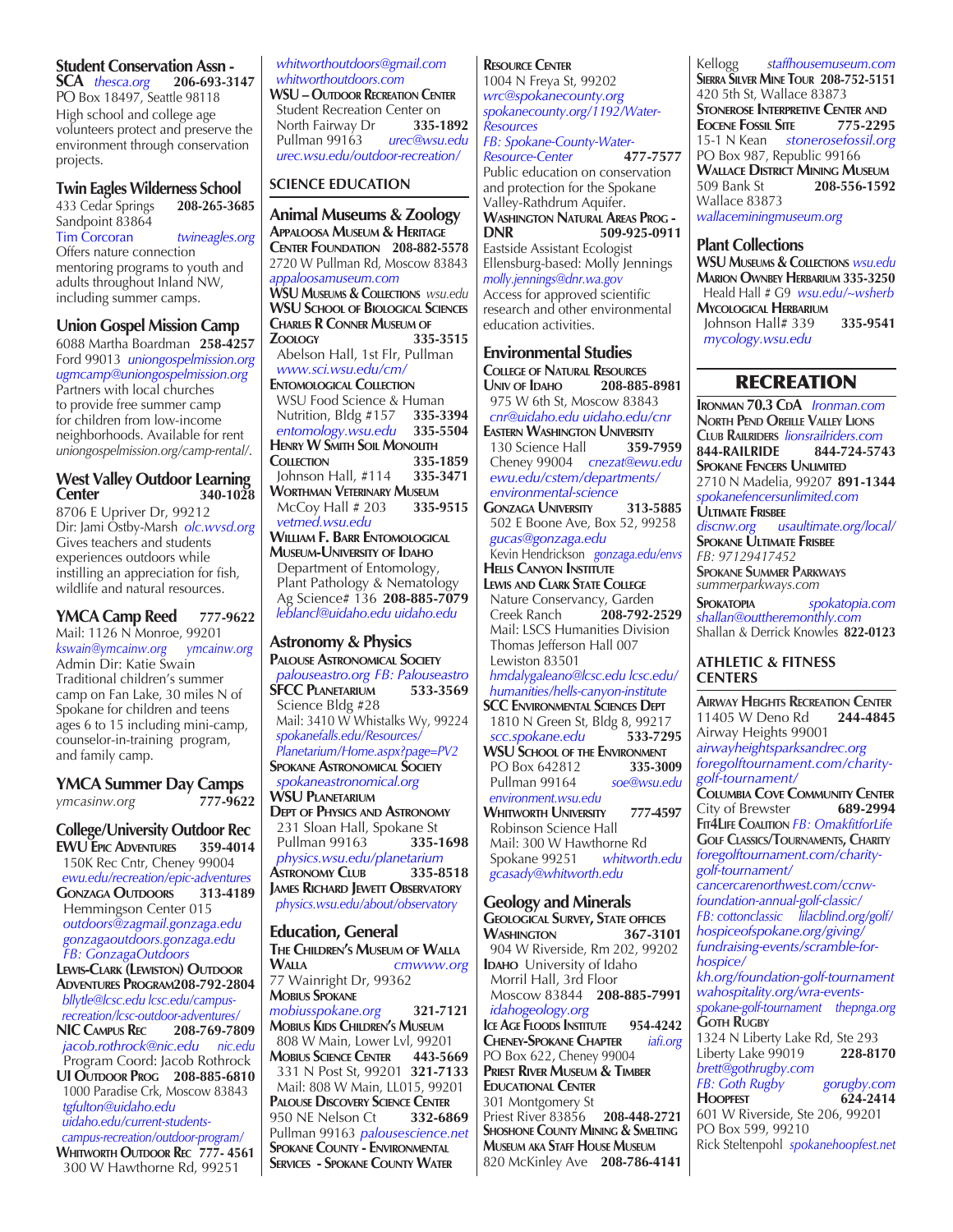## **Student Conservation Assn -**

**SCA** *thesca.org* **206-693-3147** PO Box 18497, Seattle 98118 High school and college age volunteers protect and preserve the environment through conservation projects.

## **Twin Eagles Wilderness School**<br>433 Cedar Springs 208-265-3685

433 Cedar Springs Sandpoint 83864 Tim Corcoran *twineagles.org* Offers nature connection mentoring programs to youth and adults throughout Inland NW, including summer camps.

## **Union Gospel Mission Camp**

6088 Martha Boardman **258-4257** Ford 99013 *uniongospelmission.org ugmcamp@uniongospelmission.org* Partners with local churches to provide free summer camp for children from low-income neighborhoods. Available for rent *uniongospelmission.org/camp-rental/*.

#### **West Valley Outdoor Learning Center 340-1028**

8706 E Upriver Dr, 99212 Dir: Jami Ostby-Marsh *olc.wvsd.org* Gives teachers and students experiences outdoors while instilling an appreciation for fish, wildlife and natural resources.

#### **YMCA Camp Reed 777-9622** Mail: 1126 N Monroe, 99201 *kswain@ymcainw.org ymcainw.org* Admin Dir: Katie Swain Traditional children's summer camp on Fan Lake, 30 miles N of Spokane for children and teens ages 6 to 15 including mini-camp, counselor-in-training program, and family camp.

**YMCA Summer Day Camps**  *ymcasinw.org* **777-9622**

#### **College/University Outdoor Rec EWU EPIC ADVENTURES**  150K Rec Cntr, Cheney 99004  *ewu.edu/recreation/epic-adventures* **GONZAGA OUTDOORS**  Hemmingson Center 015  *outdoors@zagmail.gonzaga.edu gonzagaoutdoors.gonzaga.edu FB: GonzagaOutdoors* **LEWIS-CLARK (LEWISTON) OUTDOOR Adventures Program208-792-2804**  *bllytle@lcsc.edu lcsc.edu/campus recreation/lcsc-outdoor-adventures/* **NIC Campus Rec 208-769-7809**

 *jacob.rothrock@nic.edu nic.edu* Program Coord: Jacob Rothrock **UI Outdoor Prog 208-885-6810**

 1000 Paradise Crk, Moscow 83843  *tgfulton@uidaho.edu uidaho.edu/current-students campus-recreation/outdoor-program/*

**Whitworth Outdoor Rec 777- 4561** 300 W Hawthorne Rd, 99251

#### *whitworthoutdoors@gmail.com whitworthoutdoors.com*

**WSU – Outdoor Recreation Center** Student Recreation Center on<br>North Fairway Dr. 335-1892 North Fairway Dr **335-1892**<br>Pullman 99163 *urec@wsu.edu*  Pullman 99163 *urec@wsu.edu urec.wsu.edu/outdoor-recreation/*

## **SCIENCE EDUCATION**

**Animal Museums & Zoology Appaloosa Museum & Heritage Center Foundation 208-882-5578** 2720 W Pullman Rd, Moscow 83843 *appaloosamuseum.com* **WSU Museums & Collections** *wsu.edu* **WSU School of Biological Sciences Charles R Conner Museum of Zoology 335-3515**  Abelson Hall, 1st Flr, Pullman  *www.sci.wsu.edu/cm/* **Entomological Collection** WSU Food Science & Human Nutrition, Bldg #157 **335-3394**  *entomology.wsu.edu* **335-5504 HENRY W SMITH SOIL MONOLITH**<br>**COLLECTION** 335-1859 **COLLECTION 335-1859**<br> **1255-2471**<br> **1255-2471**  Johnson Hall, #114 **335-3471 Worthman Veterinary Museum** McCoy Hall # 203 **335-9515**  *vetmed.wsu.edu* **William F. Barr Entomological Museum-University of Idaho** Department of Entomology, Plant Pathology & Nematology Ag Science# 136 **208-885-7079**  *leblancl@uidaho.edu uidaho.edu*

## **Astronomy & Physics**

**Palouse Astronomical Society**  *palouseastro.org FB: Palouseastro* **SFCC PLANETARIUM**  Science Bldg #28 Mail: 3410 W Whistalks Wy, 99224  *spokanefalls.edu/Resources/ Planetarium/Home.aspx?page=PV2* **Spokane Astronomical Society**  *spokaneastronomical.org* **WSU Planetarium Dept of Physics and Astronomy** 231 Sloan Hall, Spokane St<br>Pullman 99163 **335-1698**  Pullman 99163 **335-1698**  *physics.wsu.edu/planetarium* **Astronomy Club 335-8518 James Richard Jewett Observatory**  *physics.wsu.edu/about/observatory*

## **Education, General**

**THE CHILDREN'S MUSEUM OF WALLA**<br>WALLA *CHIWWW.OD* **Walla** *cmwww.org* 77 Wainright Dr, 99362 **Mobius Spokane** *mobiusspokane.org* **321-7121 Mobius Kids Children's Museum** 808 W Main, Lower Lvl, 99201<br>**MOBIUS SCIENCE CENTER** 443-5669 **Mobius Science Center 443-5669** 331 N Post St, 99201 **321-7133** Mail: 808 W Main, LL015, 99201 **Palouse Discovery Science Center** 950 NE Nelson Ct **332-6869**  Pullman 99163 *palousescience.net* **Spokane County - Environmental Services - Spokane County Water**

#### **Resource Center**

1004 N Freya St, 99202 *wrc@spokanecounty.org spokanecounty.org/1192/Water-Resources FB: Spokane-County-Water-Resource-Center* **477-7577** Public education on conservation and protection for the Spokane Valley-Rathdrum Aquifer. **Washington Natural Areas Prog - DNR 509-925-0911** Eastside Assistant Ecologist Ellensburg-based: Molly Jennings *molly.jennings@dnr.wa.gov* Access for approved scientific research and other environmental education activities.

## **Environmental Studies College of Natural Resources Univ of Idaho 208-885-8981** 975 W 6th St, Moscow 83843  *cnr@uidaho.edu uidaho.edu/cnr* **EASTERN WASHINGTON UNIVERSITY**<br>130 Science Hall **359-7959**

130 Science Hall Cheney 99004 *cnezat@ewu.edu ewu.edu/cstem/departments/ environmental-science* **Gonzaga University 313-5885** 502 E Boone Ave, Box 52, 99258

 *gucas@gonzaga.edu*  Kevin Hendrickson *gonzaga.edu/envs* **Hells Canyon Institute Lewis and Clark State College** Nature Conservancy, Garden<br>Creek Ranch 208-792-2529 **Creek Ranch**  Mail: LSCS Humanities Division Thomas Jefferson Hall 007 Lewiston 83501  *hmdalygaleano@lcsc.edu lcsc.edu/ humanities/hells-canyon-institute* **SCC Environmental Sciences Dept** 1810 N Green St, Bldg 8, 99217<br>scc.spokane.edu 533-7295  *scc.spokane.edu* **533-7295**

**WSU School of the Environment** PO Box 642812 **335-3009**  Pullman 99164 *soe@wsu.edu environment.wsu.edu* **Whitworth University 777-4597** Robinson Science Hall Mail: 300 W Hawthorne Rd

 Spokane 99251 *whitworth.edu gcasady@whitworth.edu*

## **Geology and Minerals**

**Geological Survey, State offices WASHINGTON**  904 W Riverside, Rm 202, 99202 **IDAHO** University of Idaho Morril Hall, 3rd Floor Moscow 83844 **208-885-7991**  *idahogeology.org* **ICE AGE FLOODS INSTITUTE** 954-4242<br>**CHENEY-SPOKANE CHAPTER** *<i>iafi.org***</u> Cheney-Spokane Chapter** *iafi.org* PO Box 622, Cheney 99004 **Priest River Museum & Timber Educational Center** 301 Montgomery St Priest River 83856 **208-448-2721 Shoshone County Mining & Smelting Museum aka Staff House Museum** 820 McKinley Ave **208-786-4141**

Kellogg *staffhousemuseum.com*  **Sierra Silver Mine Tour 208-752-5151** 420 5th St, Wallace 83873 **Stonerose Interpretive Center and EOCENE FOSSIL SITE** 15-1 N Kean *stonerosefossil.org* PO Box 987, Republic 99166 **Wallace District Mining Museum** 509 Bank St **208-556-1592**  Wallace 83873 *wallaceminingmuseum.org*

## **Plant Collections**

**WSU Museums & Collections** *wsu.edu* **Marion Ownbey Herbarium 335-3250** Heald Hall # G9 *wsu.edu/~wsherb* **Mycological Herbarium** Johnson Hall# 339 **335-9541**  *mycology.wsu.edu*

## RECREATION

**IRONMAN 70.3 CDA** *Ironman.com* **North Pend Oreille Valley Lions Club Railriders** *lionsrailriders.com* **844-RAILRIDE 844-724-5743 Spokane Fencers Unlimited** 2710 N Madelia, 99207 **891-1344** *spokanefencersunlimited.com* **Ultimate Frisbee** *discnw.org usaultimate.org/local/* **Spokane Ultimate Frisbee** *FB: 97129417452* **Spokane Summer Parkways** *summerparkways.com* **Spokatopia** *spokatopia.com*

*shallan@outtheremonthly.com* Shallan & Derrick Knowles **822-0123**

#### **ATHLETIC & FITNESS CENTERS**

**Airway Heights Recreation Center** 11405 W Deno Rd Airway Heights 99001 *airwayheightsparksandrec.org foregolftournament.com/charitygolf-tournament/* **Columbia Cove Community Center** City of Brewster **689-2994 Fit4Life Coalition** *FB: OmakfitforLife* **Golf Classics/Tournaments, Charity** *foregolftournament.com/charitygolf-tournament/ cancercarenorthwest.com/ccnwfoundation-annual-golf-classic/ FB: cottonclassic lilacblind.org/golf/ hospiceofspokane.org/giving/ fundraising-events/scramble-forhospice/ kh.org/foundation-golf-tournament wahospitality.org/wra-eventsspokane-golf-tournament thepnga.org* **Goth Rugby** 1324 N Liberty Lake Rd, Ste 293<br>Liberty Lake 99019 228-8170 Liberty Lake 99019 *brett@gothrugby.com FB: Goth Rugby gorugby.com* **Hoopfest 624-2414** 601 W Riverside, Ste 206, 99201 PO Box 599, 99210 Rick Steltenpohl *spokanehoopfest.net*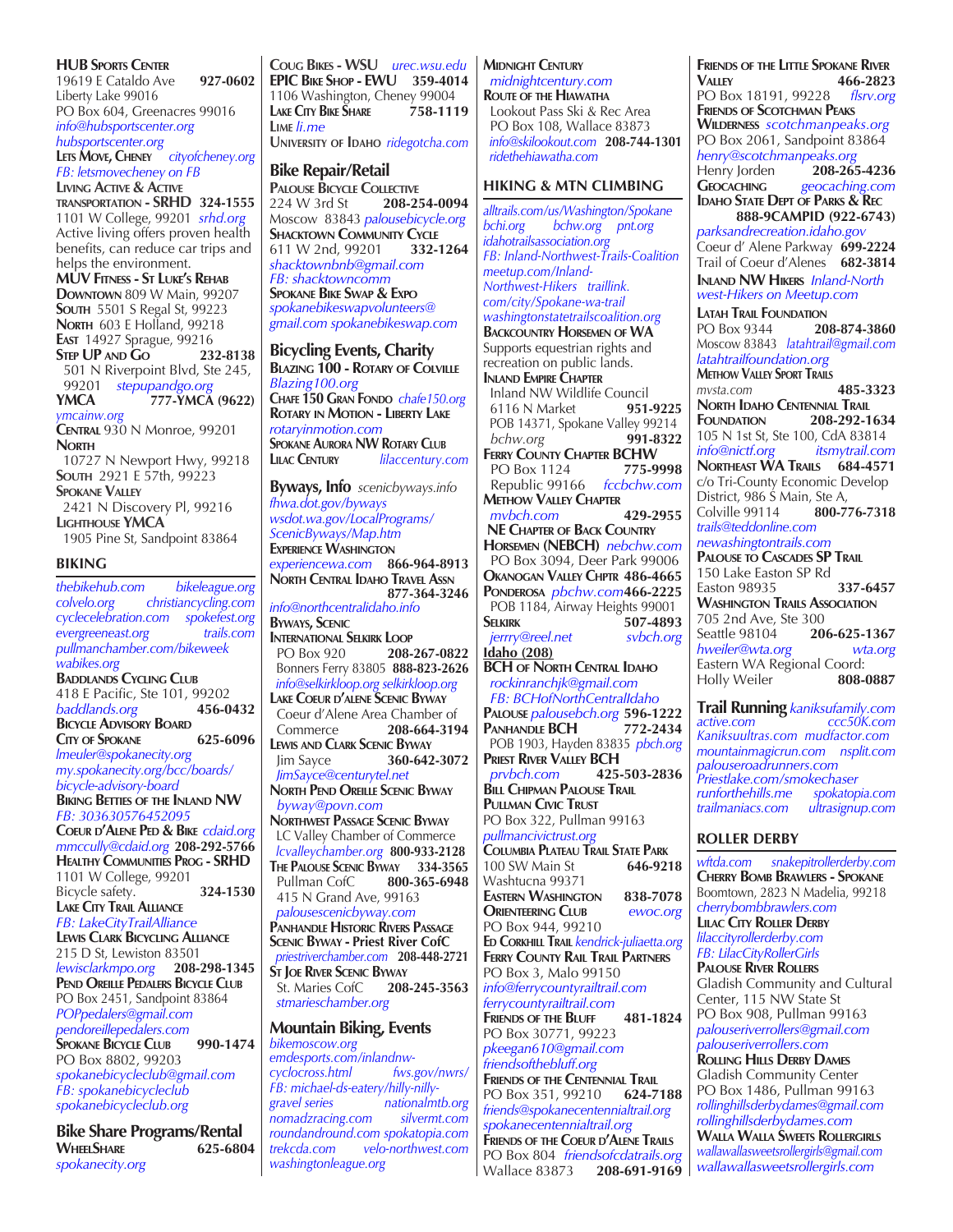#### **HUB Sports Center**

19619 E Cataldo Ave **927-0602** Liberty Lake 99016 PO Box 604, Greenacres 99016 *info@hubsportscenter.org hubsportscenter.org*

**Lets Move, Cheney** *cityofcheney.org FB: letsmovecheney on FB* **Living Active & Active transportation - SRHD 324-1555** 1101 W College, 99201 *srhd.org* Active living offers proven health

benefits, can reduce car trips and helps the environment. **MUV Fitness - St Luke's Rehab Downtown** 809 W Main, 99207 **South** 5501 S Regal St, 99223 **North** 603 E Holland, 99218 **East** 14927 Sprague, 99216 **Step UP and Go 232-8138** 501 N Riverpoint Blvd, Ste 245, 99201 *stepupandgo.org* **YMCA 777-YMCA (9622)** *ymcainw.org* **Central** 930 N Monroe, 99201 **North** 10727 N Newport Hwy, 99218 **South** 2921 E 57th, 99223 **Spokane Valley** 2421 N Discovery Pl, 99216

**Lighthouse YMCA** 1905 Pine St, Sandpoint 83864

#### **BIKING**

*thebikehub.com bikeleague.org colvelo.org christiancycling.com cyclecelebration.com spokefest.org*  $e<sub>vergreene</sub> = 0$ *pullmanchamber.com/bikeweek wabikes.org* **Baddlands Cycling Club** 418 E Pacific, Ste 101, 99202<br>baddlands.org **456-0432** *baddlands.org* **456-0432 Bicycle Advisory Board City of Spokane 625-6096** *lmeuler@spokanecity.org my.spokanecity.org/bcc/boards/ bicycle-advisory-board* **Biking Betties of the Inland NW** *FB: 303630576452095* **Coeur d'Alene Ped & Bike** *cdaid.org mmccully@cdaid.org* **208-292-5766 Healthy Communities Prog - SRHD** 1101 W College, 99201 Bicycle safety. **324-1530 Lake City Trail Alliance** *FB: LakeCityTrailAlliance* **Lewis Clark Bicycling Alliance** 215 D St, Lewiston 83501 *lewisclarkmpo.org* **208-298-1345 Pend Oreille Pedalers Bicycle Club** PO Box 2451, Sandpoint 83864 *POPpedalers@gmail.com pendoreillepedalers.com* **Spokane Bicycle Club 990-1474** PO Box 8802, 99203 *spokanebicycleclub@gmail.com FB: spokanebicycleclub spokanebicycleclub.org*

**Bike Share Programs/Rental WheelShare 625-6804** *spokanecity.org*

**Coug Bikes - WSU** *urec.wsu.edu* **EPIC Bike Shop - EWU 359-4014** 1106 Washington, Cheney 99004<br>LAKE CITY BIKE SHARE 758-1119 **Lake City Bike Share 758-1119 Lime** *li.me* **University of Idaho** *ridegotcha.com*

**Bike Repair/Retail PALOUSE BICYCLE COLLECTIVE**<br>224 W 3rd St **208-25** 224 W 3rd St **208-254-0094** Moscow 83843 *palousebicycle.org* **SHACKTOWN COMMUNITY CYCLE** 611 W 2nd, 99201 **332-1264** *shacktownbnb@gmail.com FB: shacktowncomm* **Spokane Bike Swap & Expo** *spokanebikeswapvolunteers@ gmail.com spokanebikeswap.com*

**Bicycling Events, Charity Blazing 100 - Rotary of Colville** *Blazing100.org*  **Chafe 150 Gran Fondo** *chafe150.org*  **Rotary in Motion - Liberty Lake** *rotaryinmotion.com* **Spokane Aurora NW Rotary Club Lilac Century** *lilaccentury.com*

**Byways, Info** *scenicbyways.info fhwa.dot.gov/byways wsdot.wa.gov/LocalPrograms/ ScenicByways/Map.htm* **Experience Washington** *experiencewa.com* **866-964-8913 North Central Idaho Travel Assn 877-364-3246** *info@northcentralidaho.info* **Byways, Scenic International Selkirk Loop** PO Box 920 **208-267-0822** Bonners Ferry 83805 **888-823-2626**   *info@selkirkloop.org selkirkloop.org* **Lake Coeur d'alene Scenic Byway** Coeur d'Alene Area Chamber of Commerce **208-664-3194 Lewis and Clark Scenic Byway** Jim Sayce **360-642-3072**  *JimSayce@centurytel.net* **North Pend Oreille Scenic Byway**  *byway@povn.com*  **Northwest Passage Scenic Byway** LC Valley Chamber of Commerce *lcvalleychamber.org* **800-933-2128 The Palouse Scenic Byway 334-3565** Pullman CofC **800-365-6948** 415 N Grand Ave, 99163  *palousescenicbyway.com*  **Panhandle Historic Rivers Passage Scenic Byway - Priest River CofC**  *priestriverchamber.com* **208-448-2721 St Joe River Scenic Byway** St. Maries CofC  *stmarieschamber.org*

#### **Mountain Biking, Events** *bikemoscow.org*

*emdesports.com/inlandnw* $c$ *vclocross.html FB: michael-ds-eatery/hilly-nillygravel series nationalmtb.org nomadzracing.com silvermt.com roundandround.com spokatopia.com trekcda.com velo-northwest.com washingtonleague.org*

**Midnight Century**  *midnightcentury.com* **Route of the Hiawatha** Lookout Pass Ski & Rec Area PO Box 108, Wallace 83873  *info@skilookout.com* **208-744-1301**  *ridethehiawatha.com*

## **HIKING & MTN CLIMBING**

*alltrails.com/us/Washington/Spokane bchi.org bchw.org pnt.org idahotrailsassociation.org FB: Inland-Northwest-Trails-Coalition meetup.com/Inland-Northwest-Hikers traillink. com/city/Spokane-wa-trail washingtonstatetrailscoalition.org* **Backcountry Horsemen of WA** Supports equestrian rights and recreation on public lands. **Inland Empire Chapter** Inland NW Wildlife Council<br>6116 N Market<br>951-9225 6116 N Market **951-9225** POB 14371, Spokane Valley 99214  *bchw.org* **991-8322 FERRY COUNTY CHAPTER BCHW**<br>PO Box 1124 775-9998 PO Box 1124 **775-9998** Republic 99166 *fccbchw.com* **Methow Valley Chapter**<br>mybch.com 429-2955  $m$ *vbch.com* **NE Chapter of Back Country Horsemen (NEBCH)** *nebchw.com* PO Box 3094, Deer Park 99006 **Okanogan Valley Chptr 486-4665 Ponderosa** *pbchw.com***466-2225 POB 1184, Airway Heights 99001**<br>**SPIKIDK** 507-4893 **Selkirk 507-4893**  $i$ errry@reel.net **Idaho (208) BCH of North Central Idaho**  *rockinranchjk@gmail.com FB: BCHofNorthCentralIdaho*  **Palouse** *palousebch.org* **596-1222 PANHANDLE BCH**  POB 1903, Hayden 83835 *pbch.org* **Priest River Valley BCH** *prvbch.com* **425-503-2836 Bill Chipman Palouse Trail Pullman Civic Trust** PO Box 322, Pullman 99163 *pullmancivictrust.org* **Columbia Plateau Trail State Park** 100 SW Main St Washtucna 99371 **EASTERN WASHINGTON 838-7078**<br> **ORIENTEERING CLUB** *ewoc.org* **ORIENTEERING** CLUB PO Box 944, 99210 **Ed Corkhill Trail** *kendrick-juliaetta.org* **Ferry County Rail Trail Partners** PO Box 3, Malo 99150 *info@ferrycountyrailtrail.com ferrycountyrailtrail.com* **Friends of the Bluff 481-1824** PO Box 30771, 99223 *pkeegan610@gmail.com friendsofthebluff.org* **Friends of the Centennial Trail** PO Box 351, 99210 **624-7188** *friends@spokanecentennialtrail.org spokanecentennialtrail.org* **Friends of the Coeur d'Alene Trails** PO Box 804 *friendsofcdatrails.org* Wallace 83873 **208-691-9169**

**Friends of the Little Spokane River Valley 466-2823** PO Box 18191, 99228 *flsrv.org*  **Friends of Scotchman Peaks Wilderness** *scotchmanpeaks.org* PO Box 2061, Sandpoint 83864 *henry@scotchmanpeaks.org* Henry Jorden<br>**GEOCACHING Geocaching** *geocaching.com* **Idaho State Dept of Parks & Rec 888-9CAMPID (922-6743)** *parksandrecreation.idaho.gov* Coeur d' Alene Parkway **699-2224** Trail of Coeur d'Alenes **682-3814 Inland NW Hikers** *Inland-North west-Hikers on Meetup.com* **Latah Trail Foundation** PO Box 9344 **208-874-3860** Moscow 83843 *latahtrail@gmail.com latahtrailfoundation.org* **Methow Valley Sport Trails**  *mvsta.com* **485-3323 North Idaho Centennial Trail Foundation 208-292-1634** 105 N 1st St, Ste 100, CdA 83814<br>info@nictf.org itsmytrail.com *itsmytrail.com* **Northeast WA Trails 684-4571** c/o Tri-County Economic Develop District, 986 S Main, Ste A,<br>Colville 99114 **800-776-7318** Colville 99114 **800-776-7318** *trails@teddonline.com newashingtontrails.com* **Palouse to Cascades SP Trail** 150 Lake Easton SP Rd Easton 98935 **337-6457 Washington Trails Association** 705 2nd Ave, Ste 300<br>Seattle 98104 206-625-1367 Seattle 98104 **206-625-1367**<br>
hweiler@wta.org wta.org *hweiler@wta.org wta.org* Eastern WA Regional Coord: Holly Weiler **808-0887 Trail Running** *kaniksufamily.com active.com ccc50K.com*

*Kaniksuultras.com mudfactor.com mountainmagicrun.com nsplit.com palouseroadrunners.com Priestlake.com/smokechaser runforthehills.me spokatopia.com trailmaniacs.com ultrasignup.com*

#### **ROLLER DERBY**

*wftda.com snakepitrollerderby.com* **Cherry Bomb Brawlers - Spokane** Boomtown, 2823 N Madelia, 99218 *cherrybombbrawlers.com* **Lilac City Roller Derby** *lilaccityrollerderby.com FB: LilacCityRollerGirls* **Palouse River Rollers** Gladish Community and Cultural Center, 115 NW State St PO Box 908, Pullman 99163 *palouseriverrollers@gmail.com palouseriverrollers.com* **Rolling Hills Derby Dames** Gladish Community Center PO Box 1486, Pullman 99163 *rollinghillsderbydames@gmail.com rollinghillsderbydames.com* **Walla Walla Sweets Rollergirls**

*wallawallasweetsrollergirls@gmail.com wallawallasweetsrollergirls.com*